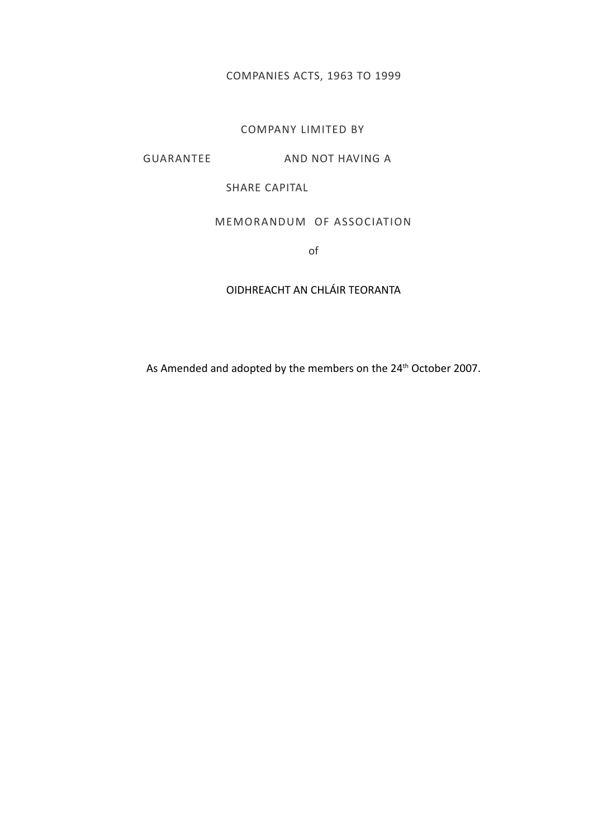COMPANIES ACTS, 1963 TO 1999

COMPANY LIMITED BY

GUARANTEE AND NOT HAVING A

SHARE CAPITAL

# MEMORANDUM OF ASSOCIATION

of

# OIDHREACHT AN CHLÁIR TEORANTA

As Amended and adopted by the members on the 24<sup>th</sup> October 2007.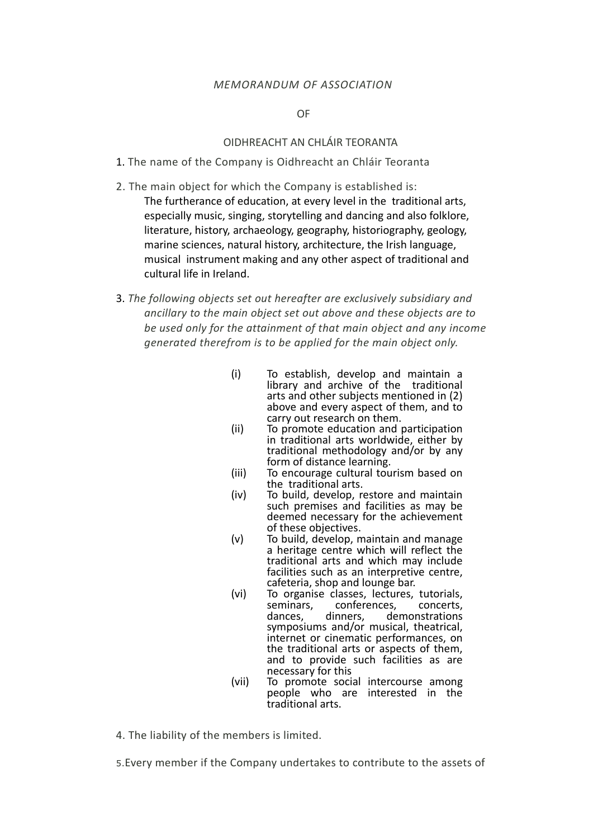# *MEMORANDUM OF ASSOCIATION*

OF

# OIDHREACHT AN CHLÁIR TEORANTA

- 1. The name of the Company is Oidhreacht an Chláir Teoranta
- 2. The main object for which the Company is established is:
	- The furtherance of education, at every level in the traditional arts, especially music, singing, storytelling and dancing and also folklore, literature, history, archaeology, geography, historiography, geology, marine sciences, natural history, architecture, the Irish language, musical instrument making and any other aspect of traditional and cultural life in Ireland.
- 3. *The following objects set out hereafter are exclusively subsidiary and ancillary to the main object set out above and these objects are to be used only for the attainment of that main object and any income generated therefrom is to be applied for the main object only.*
	- (i) To establish, develop and maintain a library and archive of the traditional arts and other subjects mentioned in (2) above and every aspect of them, and to carry out research on them.
	- (ii) To promote education and participation in traditional arts worldwide, either by traditional methodology and/or by any form of distance learning.
	- (iii) To encourage cultural tourism based on the traditional arts.
	- (iv) To build, develop, restore and maintain such premises and facilities as may be deemed necessary for the achievement of these objectives.
	- (v) To build, develop, maintain and manage a heritage centre which will reflect the traditional arts and which may include facilities such as an interpretive centre, cafeteria, shop and lounge bar.
	- (vi) To organise classes, lectures, tutorials, seminars, conferences,<br>dances, dinners, de demonstrations symposiums and/or musical, theatrical, internet or cinematic performances, on the traditional arts or aspects of them, and to provide such facilities as are necessary for this
	- (vii) To promote social intercourse among people who are interested in the traditional arts.

4. The liability of the members is limited.

5.Every member if the Company undertakes to contribute to the assets of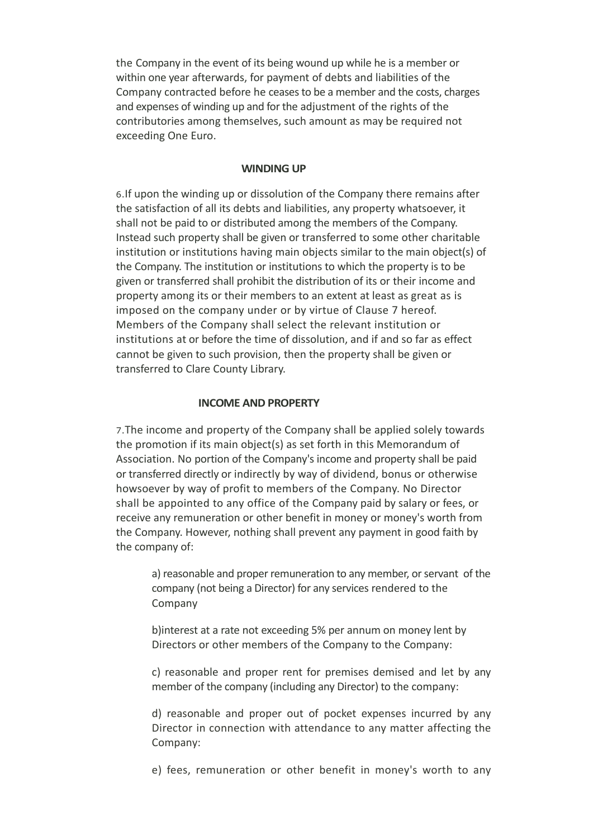the Company in the event of its being wound up while he is a member or within one year afterwards, for payment of debts and liabilities of the Company contracted before he ceases to be a member and the costs, charges and expenses of winding up and for the adjustment of the rights of the contributories among themselves, such amount as may be required not exceeding One Euro.

# **WINDING UP**

6.If upon the winding up or dissolution of the Company there remains after the satisfaction of all its debts and liabilities, any property whatsoever, it shall not be paid to or distributed among the members of the Company. Instead such property shall be given or transferred to some other charitable institution or institutions having main objects similar to the main object(s) of the Company. The institution or institutions to which the property is to be given or transferred shall prohibit the distribution of its or their income and property among its or their members to an extent at least as great as is imposed on the company under or by virtue of Clause 7 hereof. Members of the Company shall select the relevant institution or institutions at or before the time of dissolution, and if and so far as effect cannot be given to such provision, then the property shall be given or transferred to Clare County Library.

# **INCOME AND PROPERTY**

7.The income and property of the Company shall be applied solely towards the promotion if its main object(s) as set forth in this Memorandum of Association. No portion of the Company's income and property shall be paid or transferred directly or indirectly by way of dividend, bonus or otherwise howsoever by way of profit to members of the Company. No Director shall be appointed to any office of the Company paid by salary or fees, or receive any remuneration or other benefit in money or money's worth from the Company. However, nothing shall prevent any payment in good faith by the company of:

a) reasonable and proper remuneration to any member, or servant of the company (not being a Director) for any services rendered to the Company

b)interest at a rate not exceeding 5% per annum on money lent by Directors or other members of the Company to the Company:

c) reasonable and proper rent for premises demised and let by any member of the company (including any Director) to the company:

d) reasonable and proper out of pocket expenses incurred by any Director in connection with attendance to any matter affecting the Company:

e) fees, remuneration or other benefit in money's worth to any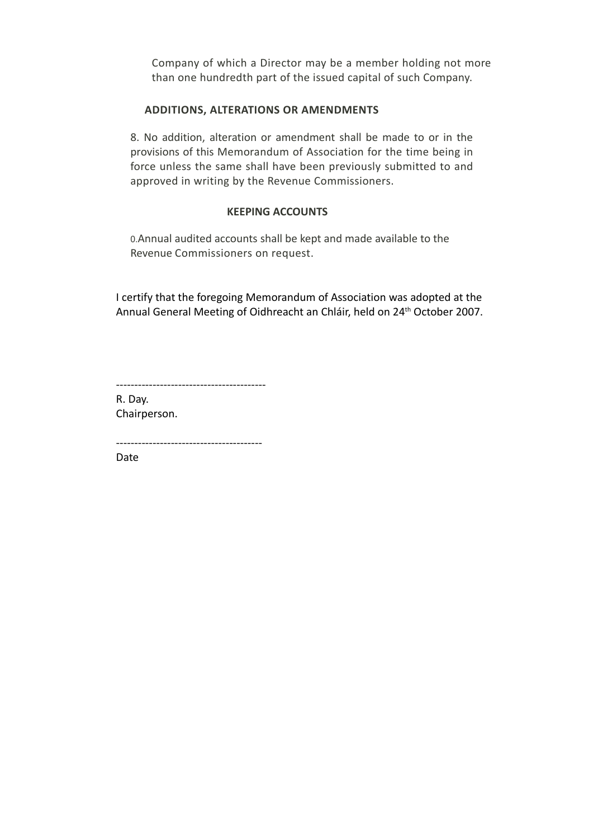Company of which a Director may be a member holding not more than one hundredth part of the issued capital of such Company.

# **ADDITIONS, ALTERATIONS OR AMENDMENTS**

8. No addition, alteration or amendment shall be made to or in the provisions of this Memorandum of Association for the time being in force unless the same shall have been previously submitted to and approved in writing by the Revenue Commissioners.

# **KEEPING ACCOUNTS**

0.Annual audited accounts shall be kept and made available to the Revenue Commissioners on request.

I certify that the foregoing Memorandum of Association was adopted at the Annual General Meeting of Oidhreacht an Chláir, held on 24th October 2007.

----------------------------------------- R. Day. Chairperson.

----------------------------------------

Date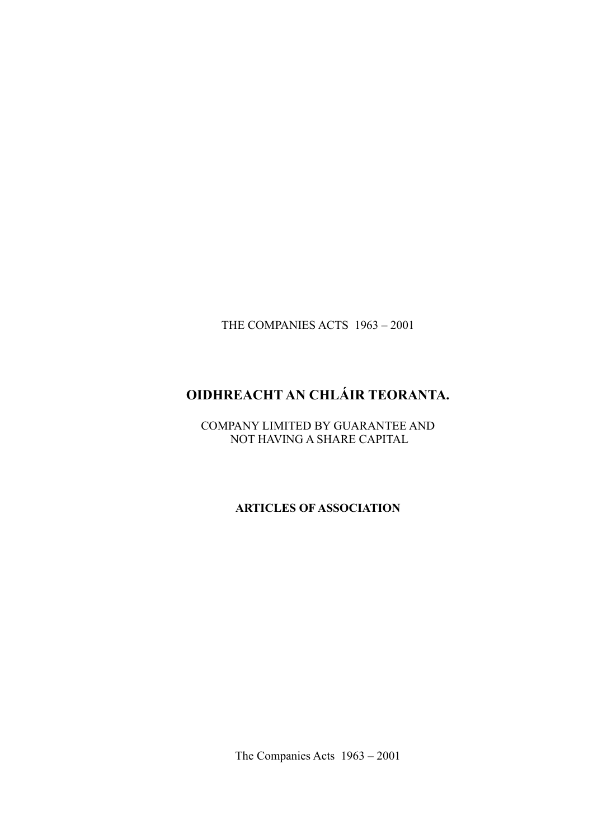THE COMPANIES ACTS 1963 – 2001

# **OIDHREACHT AN CHLÁIR TEORANTA.**

COMPANY LIMITED BY GUARANTEE AND NOT HAVING A SHARE CAPITAL

**ARTICLES OF ASSOCIATION**

The Companies Acts 1963 – 2001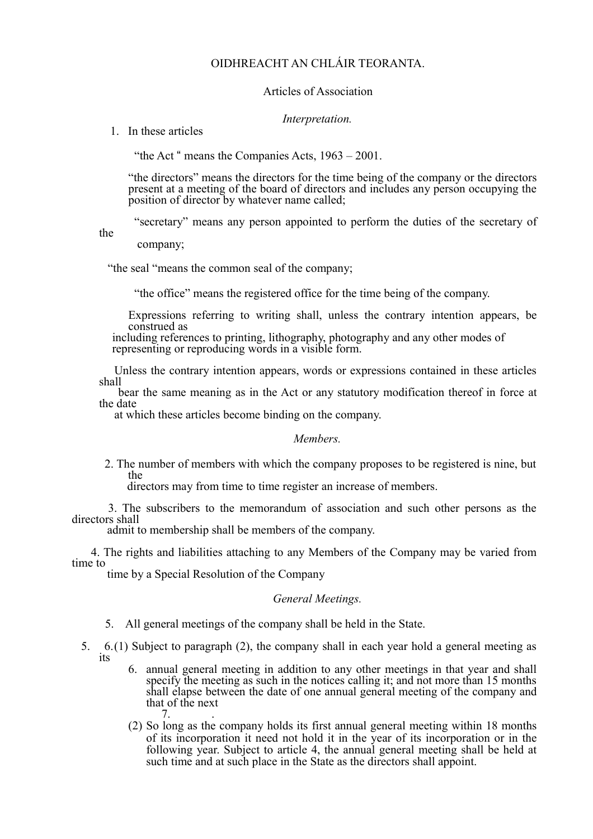# OIDHREACHT AN CHLÁIR TEORANTA.

## Articles of Association

#### *Interpretation.*

1. In these articles

"the Act " means the Companies Acts, 1963 – 2001.

"the directors" means the directors for the time being of the company or the directors present at a meeting of the board of directors and includes any person occupying the position of director by whatever name called;

"secretary" means any person appointed to perform the duties of the secretary of

company;

the

"the seal "means the common seal of the company;

"the office" means the registered office for the time being of the company.

Expressions referring to writing shall, unless the contrary intention appears, be construed as

 including references to printing, lithography, photography and any other modes of representing or reproducing words in a visible form.

Unless the contrary intention appears, words or expressions contained in these articles shall

 bear the same meaning as in the Act or any statutory modification thereof in force at the date

at which these articles become binding on the company.

#### *Members.*

 2. The number of members with which the company proposes to be registered is nine, but the

directors may from time to time register an increase of members.

 3. The subscribers to the memorandum of association and such other persons as the directors shall

admit to membership shall be members of the company.

 4. The rights and liabilities attaching to any Members of the Company may be varied from time to

time by a Special Resolution of the Company

# *General Meetings.*

- 5. All general meetings of the company shall be held in the State.
- 5. 6.(1) Subject to paragraph (2), the company shall in each year hold a general meeting as its
	- 6. annual general meeting in addition to any other meetings in that year and shall specify the meeting as such in the notices calling it; and not more than 15 months shall elapse between the date of one annual general meeting of the company and that of the next 7. .
	- (2) So long as the company holds its first annual general meeting within 18 months of its incorporation it need not hold it in the year of its incorporation or in the following year. Subject to article 4, the annual general meeting shall be held at such time and at such place in the State as the directors shall appoint.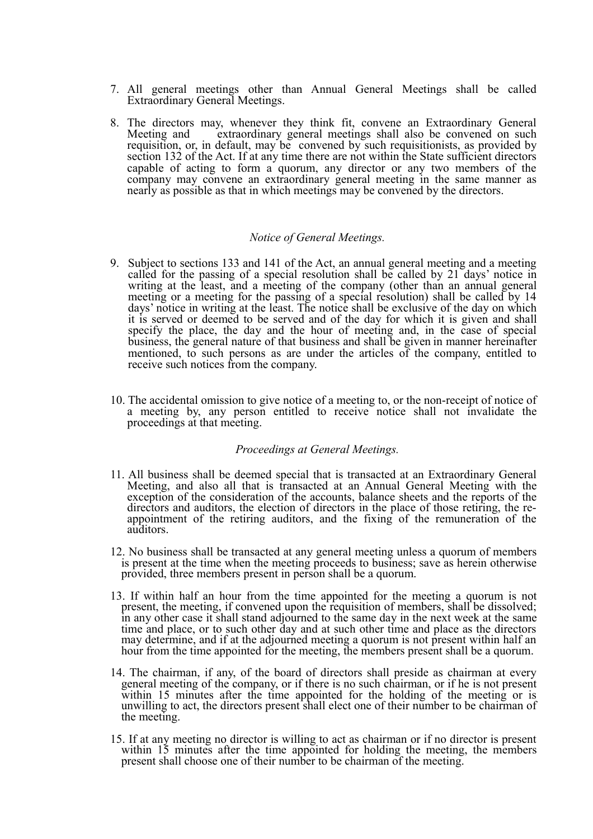- 7. All general meetings other than Annual General Meetings shall be called Extraordinary General Meetings.
- 8. The directors may, whenever they think fit, convene an Extraordinary General Meeting and extraordinary general meetings shall also be convened on such requisition, or, in default, may be convened by such requisitionists, as provided by section 132 of the Act. If at any time there are not within the State sufficient directors capable of acting to form a quorum, any director or any two members of the company may convene an extraordinary general meeting in the same manner as nearly as possible as that in which meetings may be convened by the directors.

## *Notice of General Meetings.*

- 9. Subject to sections 133 and 141 of the Act, an annual general meeting and a meeting called for the passing of a special resolution shall be called by 21 days' notice in writing at the least, and a meeting of the company (other than an annual general meeting or a meeting for the passing of a special resolution) shall be called by 14 days' notice in writing at the least. The notice shall be exclusive of the day on which it is served or deemed to be served and of the day for which it is given and shall specify the place, the day and the hour of meeting and, in the case of special business, the general nature of that business and shall be given in manner hereinafter mentioned, to such persons as are under the articles of the company, entitled to receive such notices from the company.
- 10. The accidental omission to give notice of a meeting to, or the non-receipt of notice of a meeting by, any person entitled to receive notice shall not invalidate the proceedings at that meeting.

#### *Proceedings at General Meetings.*

- 11. All business shall be deemed special that is transacted at an Extraordinary General Meeting, and also all that is transacted at an Annual General Meeting with the exception of the consideration of the accounts, balance sheets and the reports of the directors and auditors, the election of directors in the place of those retiring, the reappointment of the retiring auditors, and the fixing of the remuneration of the auditors.
- 12. No business shall be transacted at any general meeting unless a quorum of members is present at the time when the meeting proceeds to business; save as herein otherwise provided, three members present in person shall be a quorum.
- 13. If within half an hour from the time appointed for the meeting a quorum is not present, the meeting, if convened upon the requisition of members, shall be dissolved; in any other case it shall stand adjourned to the same day in the next week at the same time and place, or to such other day and at such other time and place as the directors may determine, and if at the adjourned meeting a quorum is not present within half an hour from the time appointed for the meeting, the members present shall be a quorum.
- 14. The chairman, if any, of the board of directors shall preside as chairman at every general meeting of the company, or if there is no such chairman, or if he is not present within 15 minutes after the time appointed for the holding of the meeting or is unwilling to act, the directors present shall elect one of their number to be chairman of the meeting.
- 15. If at any meeting no director is willing to act as chairman or if no director is present within 15 minutes after the time appointed for holding the meeting, the members present shall choose one of their number to be chairman of the meeting.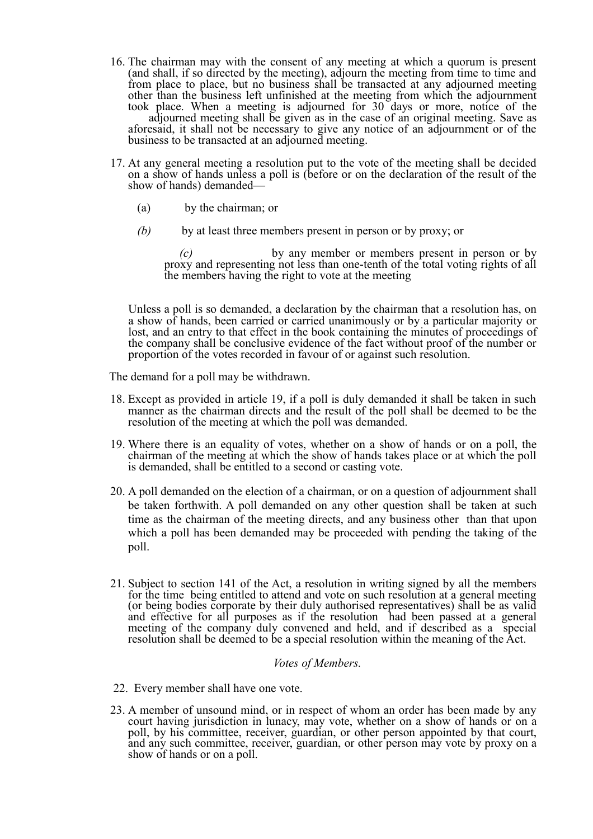- 16. The chairman may with the consent of any meeting at which a quorum is present (and shall, if so directed by the meeting), adjourn the meeting from time to time and from place to place, but no business shall be transacted at any adjourned meeting other than the business left unfinished at the meeting from which the adjournment took place. When a meeting is adjourned for 30 days or more, notice of the adjourned meeting shall be given as in the case of an original meeting. Save as aforesaid, it shall not be necessary to give any notice of an adjournment or of the business to be transacted at an adjourned meeting.
- 17. At any general meeting a resolution put to the vote of the meeting shall be decided on a show of hands unless a poll is (before or on the declaration of the result of the show of hands) demanded—
	- (a) by the chairman; or
	- *(b)* by at least three members present in person or by proxy; or

*(c)* by any member or members present in person or by proxy and representing not less than one-tenth of the total voting rights of all the members having the right to vote at the meeting

Unless a poll is so demanded, a declaration by the chairman that a resolution has, on a show of hands, been carried or carried unanimously or by a particular majority or lost, and an entry to that effect in the book containing the minutes of proceedings of the company shall be conclusive evidence of the fact without proof of the number or proportion of the votes recorded in favour of or against such resolution.

The demand for a poll may be withdrawn.

- 18. Except as provided in article 19, if a poll is duly demanded it shall be taken in such manner as the chairman directs and the result of the poll shall be deemed to be the resolution of the meeting at which the poll was demanded.
- 19. Where there is an equality of votes, whether on a show of hands or on a poll, the chairman of the meeting at which the show of hands takes place or at which the poll is demanded, shall be entitled to a second or casting vote.
- 20. A poll demanded on the election of a chairman, or on a question of adjournment shall be taken forthwith. A poll demanded on any other question shall be taken at such time as the chairman of the meeting directs, and any business other than that upon which a poll has been demanded may be proceeded with pending the taking of the poll.
- 21. Subject to section 141 of the Act, a resolution in writing signed by all the members for the time being entitled to attend and vote on such resolution at a general meeting (or being bodies corporate by their duly authorised representatives) shall be as valid and effective for all purposes as if the resolution had been passed at a general meeting of the company duly convened and held, and if described as a special resolution shall be deemed to be a special resolution within the meaning of the Act.

# *Votes of Members.*

- 22. Every member shall have one vote.
- 23. A member of unsound mind, or in respect of whom an order has been made by any court having jurisdiction in lunacy, may vote, whether on a show of hands or on a poll, by his committee, receiver, guardian, or other person appointed by that court, and any such committee, receiver, guardian, or other person may vote by proxy on a show of hands or on a poll.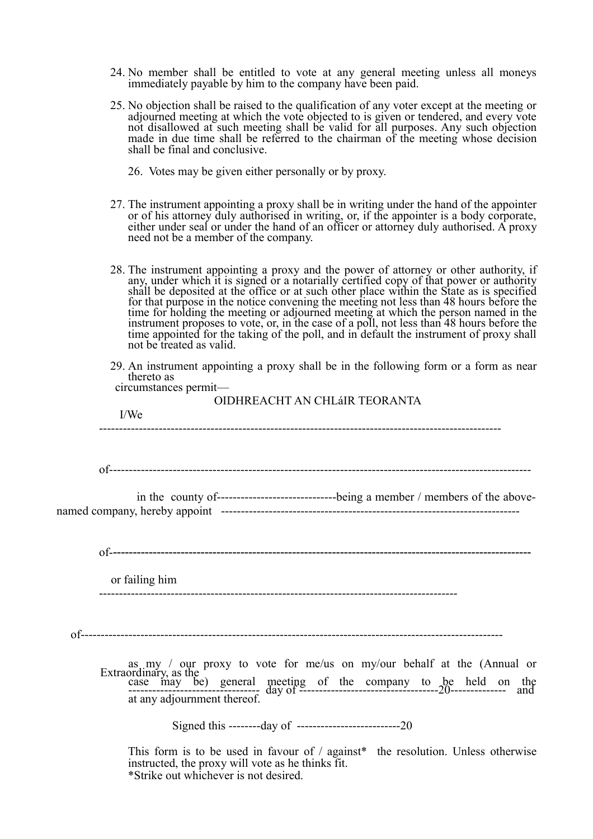- 24. No member shall be entitled to vote at any general meeting unless all moneys immediately payable by him to the company have been paid.
- 25. No objection shall be raised to the qualification of any voter except at the meeting or adjourned meeting at which the vote objected to is given or tendered, and every vote not disallowed at such meeting shall be valid for all purposes. Any such objection made in due time shall be referred to the chairman of the meeting whose decision shall be final and conclusive.
	- 26. Votes may be given either personally or by proxy.
- 27. The instrument appointing a proxy shall be in writing under the hand of the appointer or of his attorney duly authorised in writing, or, if the appointer is a body corporate, either under seal or under the hand of an officer or attorney duly authorised. A proxy need not be a member of the company.
- 28. The instrument appointing a proxy and the power of attorney or other authority, if any, under which it is signed or a notarially certified copy of that power or authority shall be deposited at the office or at such other place within the State as is specified for that purpose in the notice convening the meeting not less than 48 hours before the time for holding the meeting or adjourned meeting at which the person named in the instrument proposes to vote, or, in the case of a poll, not less than 48 hours before the time appointed for the taking of the poll, and in default the instrument of proxy shall not be treated as valid.
- 29. An instrument appointing a proxy shall be in the following form or a form as near thereto as circumstances permit—

| OIDHREACHT AN CHLÁIR TEORANTA<br>I/We                                                                                                                                                           |
|-------------------------------------------------------------------------------------------------------------------------------------------------------------------------------------------------|
|                                                                                                                                                                                                 |
|                                                                                                                                                                                                 |
| in the county of---------------------------------being a member / members of the above-                                                                                                         |
|                                                                                                                                                                                                 |
| or failing him                                                                                                                                                                                  |
|                                                                                                                                                                                                 |
| as my / our proxy to vote for me/us on my/our behalf at the (Annual or<br>Extraordinary, as the<br>case may be) general meeting of the company to be held on the<br>at any adjournment thereof. |
|                                                                                                                                                                                                 |
| This form is to be used in foresure of Loopingth the measlution. Unless otherwise                                                                                                               |

This form is to be used in favour of / against\* the resolution. Unless otherwise instructed, the proxy will vote as he thinks fit. \*Strike out whichever is not desired.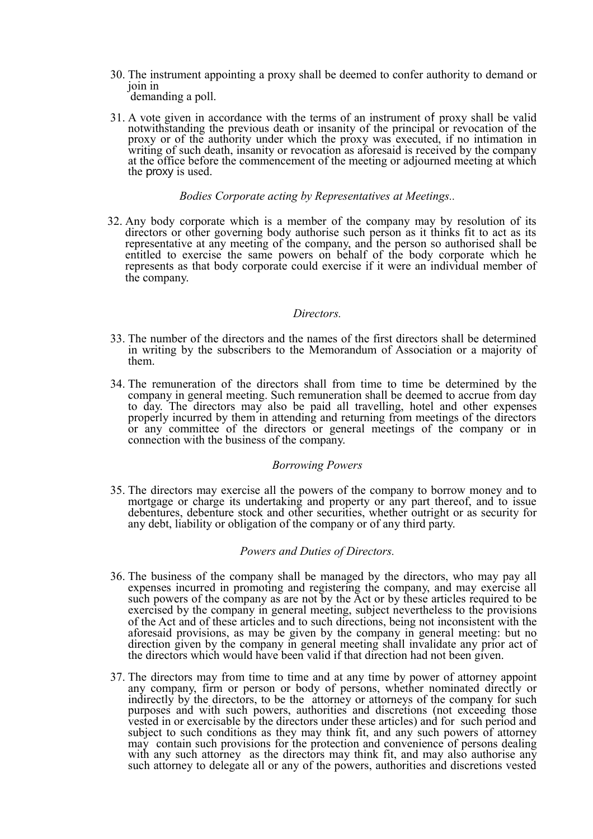- 30. The instrument appointing a proxy shall be deemed to confer authority to demand or join in demanding a poll.
- 31. A vote given in accordance with the terms of an instrument of proxy shall be valid notwithstanding the previous death or insanity of the principal or revocation of the proxy or of the authority under which the proxy was executed, if no intimation in writing of such death, insanity or revocation as aforesaid is received by the company at the office before the commencement of the meeting or adjourned meeting at which the proxy is used.

## *Bodies Corporate acting by Representatives at Meetings..*

32. Any body corporate which is a member of the company may by resolution of its directors or other governing body authorise such person as it thinks fit to act as its representative at any meeting of the company, and the person so authorised shall be entitled to exercise the same powers on behalf of the body corporate which he represents as that body corporate could exercise if it were an individual member of the company.

## *Directors.*

- 33. The number of the directors and the names of the first directors shall be determined in writing by the subscribers to the Memorandum of Association or a majority of them.
- 34. The remuneration of the directors shall from time to time be determined by the company in general meeting. Such remuneration shall be deemed to accrue from day to day. The directors may also be paid all travelling, hotel and other expenses properly incurred by them in attending and returning from meetings of the directors or any committee of the directors or general meetings of the company or in connection with the business of the company.

# *Borrowing Powers*

35. The directors may exercise all the powers of the company to borrow money and to mortgage or charge its undertaking and property or any part thereof, and to issue debentures, debenture stock and other securities, whether outright or as security for any debt, liability or obligation of the company or of any third party.

# *Powers and Duties of Directors.*

- 36. The business of the company shall be managed by the directors, who may pay all expenses incurred in promoting and registering the company, and may exercise all such powers of the company as are not by the Act or by these articles required to be exercised by the company in general meeting, subject nevertheless to the provisions of the Act and of these articles and to such directions, being not inconsistent with the aforesaid provisions, as may be given by the company in general meeting: but no direction given by the company in general meeting shall invalidate any prior act of the directors which would have been valid if that direction had not been given.
- 37. The directors may from time to time and at any time by power of attorney appoint any company, firm or person or body of persons, whether nominated directly or indirectly by the directors, to be the attorney or attorneys of the company for such purposes and with such powers, authorities and discretions (not exceeding those vested in or exercisable by the directors under these articles) and for such period and subject to such conditions as they may think fit, and any such powers of attorney may contain such provisions for the protection and convenience of persons dealing with any such attorney as the directors may think fit, and may also authorise any such attorney to delegate all or any of the powers, authorities and discretions vested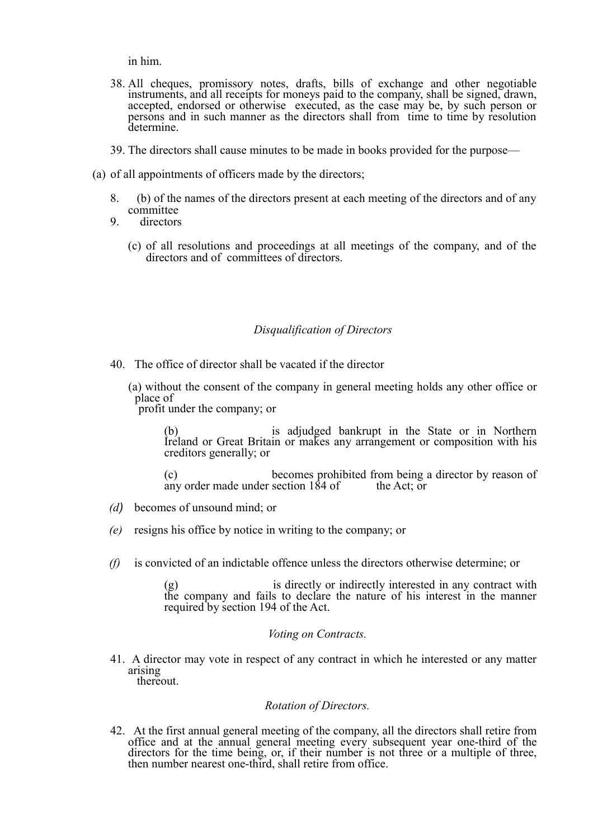in him.

- 38. All cheques, promissory notes, drafts, bills of exchange and other negotiable instruments, and all receipts for moneys paid to the company, shall be signed, drawn, accepted, endorsed or otherwise executed, as the case may be, by such person or persons and in such manner as the directors shall from time to time by resolution determine.
- 39. The directors shall cause minutes to be made in books provided for the purpose—
- (a) of all appointments of officers made by the directors;
	- 8. (b) of the names of the directors present at each meeting of the directors and of any committee
	- 9. directors
		- (c) of all resolutions and proceedings at all meetings of the company, and of the directors and of committees of directors.

# *Disqualification of Directors*

- 40. The office of director shall be vacated if the director
	- (a) without the consent of the company in general meeting holds any other office or place of profit under the company; or

(b) is adjudged bankrupt in the State or in Northern Ireland or Great Britain or makes any arrangement or composition with his creditors generally; or

(c) becomes prohibited from being a director by reason of any order made under section  $184$  of the Act; or

- *(d)* becomes of unsound mind; or
- *(e)* resigns his office by notice in writing to the company; or
- *(f)* is convicted of an indictable offence unless the directors otherwise determine; or

(g) is directly or indirectly interested in any contract with the company and fails to declare the nature of his interest in the manner required by section 194 of the Act.

# *Voting on Contracts.*

41. A director may vote in respect of any contract in which he interested or any matter arising thereout.

# *Rotation of Directors.*

42. At the first annual general meeting of the company, all the directors shall retire from office and at the annual general meeting every subsequent year one-third of the directors for the time being, or, if their number is not three or a multiple of three, then number nearest one-third, shall retire from office.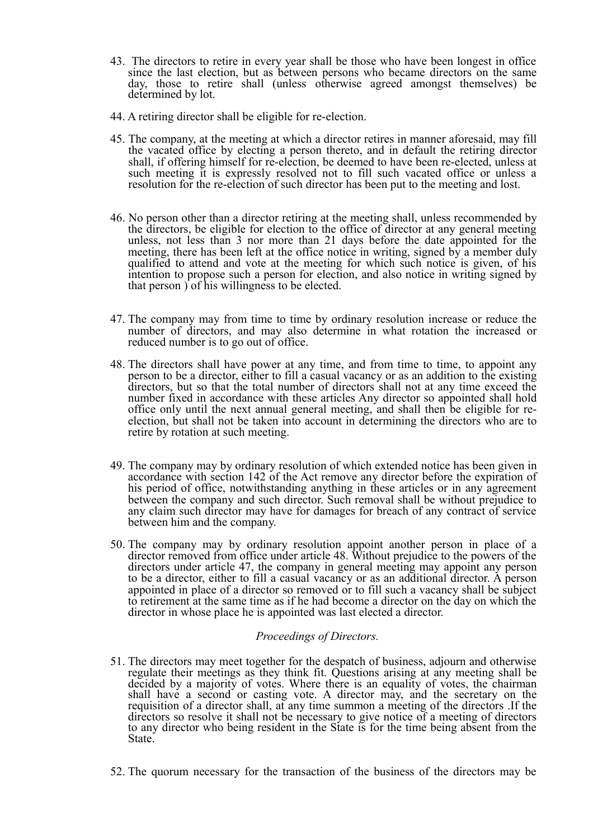- 43. The directors to retire in every year shall be those who have been longest in office since the last election, but as between persons who became directors on the same day, those to retire shall (unless otherwise agreed amongst themselves) be determined by lot.
- 44. A retiring director shall be eligible for re-election.
- 45. The company, at the meeting at which a director retires in manner aforesaid, may fill the vacated office by electing a person thereto, and in default the retiring director shall, if offering himself for re-election, be deemed to have been re-elected, unless at such meeting it is expressly resolved not to fill such vacated office or unless a resolution for the re-election of such director has been put to the meeting and lost.
- 46. No person other than a director retiring at the meeting shall, unless recommended by the directors, be eligible for election to the office of director at any general meeting unless, not less than 3 nor more than 21 days before the date appointed for the meeting, there has been left at the office notice in writing, signed by a member duly qualified to attend and vote at the meeting for which such notice is given, of his intention to propose such a person for election, and also notice in writing signed by that person ) of his willingness to be elected.
- 47. The company may from time to time by ordinary resolution increase or reduce the number of directors, and may also determine in what rotation the increased or reduced number is to go out of office.
- 48. The directors shall have power at any time, and from time to time, to appoint any person to be a director, either to fill a casual vacancy or as an addition to the existing directors, but so that the total number of directors shall not at any time exceed the number fixed in accordance with these articles Any director so appointed shall hold office only until the next annual general meeting, and shall then be eligible for reelection, but shall not be taken into account in determining the directors who are to retire by rotation at such meeting.
- 49. The company may by ordinary resolution of which extended notice has been given in accordance with section 142 of the Act remove any director before the expiration of his period of office, notwithstanding anything in these articles or in any agreement between the company and such director. Such removal shall be without prejudice to any claim such director may have for damages for breach of any contract of service between him and the company.
- 50. The company may by ordinary resolution appoint another person in place of a director removed from office under article 48. Without prejudice to the powers of the directors under article 47, the company in general meeting may appoint any person to be a director, either to fill a casual vacancy or as an additional director. A person appointed in place of a director so removed or to fill such a vacancy shall be subject to retirement at the same time as if he had become a director on the day on which the director in whose place he is appointed was last elected a director.

# *Proceedings of Directors.*

- 51. The directors may meet together for the despatch of business, adjourn and otherwise regulate their meetings as they think fit. Questions arising at any meeting shall be decided by a majority of votes. Where there is an equality of votes, the chairman shall have a second or casting vote. A director may, and the secretary on the requisition of a director shall, at any time summon a meeting of the directors .If the directors so resolve it shall not be necessary to give notice of a meeting of directors to any director who being resident in the State is for the time being absent from the State.
- 52. The quorum necessary for the transaction of the business of the directors may be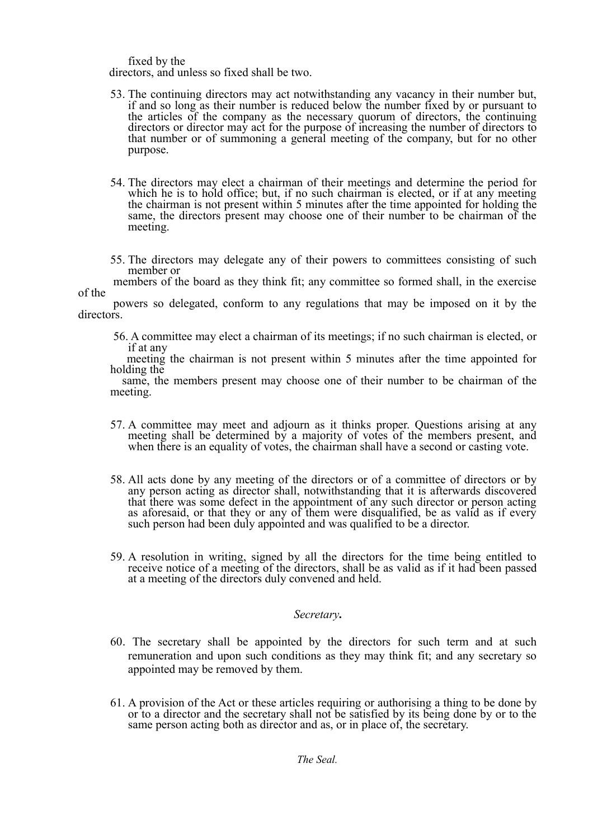fixed by the

directors, and unless so fixed shall be two.

- 53. The continuing directors may act notwithstanding any vacancy in their number but, if and so long as their number is reduced below the number fixed by or pursuant to the articles of the company as the necessary quorum of directors, the continuing directors or director may act for the purpose of increasing the number of directors to that number or of summoning a general meeting of the company, but for no other purpose.
- 54. The directors may elect a chairman of their meetings and determine the period for which he is to hold office; but, if no such chairman is elected, or if at any meeting the chairman is not present within 5 minutes after the time appointed for holding the same, the directors present may choose one of their number to be chairman of the meeting.
- 55. The directors may delegate any of their powers to committees consisting of such member or

 members of the board as they think fit; any committee so formed shall, in the exercise of the

 powers so delegated, conform to any regulations that may be imposed on it by the directors.

 56. A committee may elect a chairman of its meetings; if no such chairman is elected, or if at any

 meeting the chairman is not present within 5 minutes after the time appointed for holding the

same, the members present may choose one of their number to be chairman of the meeting.

- 57. A committee may meet and adjourn as it thinks proper. Questions arising at any meeting shall be determined by a majority of votes of the members present, and when there is an equality of votes, the chairman shall have a second or casting vote.
- 58. All acts done by any meeting of the directors or of a committee of directors or by any person acting as director shall, notwithstanding that it is afterwards discovered that there was some defect in the appointment of any such director or person acting as aforesaid, or that they or any of them were disqualified, be as valid as if every such person had been duly appointed and was qualified to be a director.
- 59. A resolution in writing, signed by all the directors for the time being entitled to receive notice of a meeting of the directors, shall be as valid as if it had been passed at a meeting of the directors duly convened and held.

# *Secretary***.**

- 60. The secretary shall be appointed by the directors for such term and at such remuneration and upon such conditions as they may think fit; and any secretary so appointed may be removed by them.
- 61. A provision of the Act or these articles requiring or authorising a thing to be done by or to a director and the secretary shall not be satisfied by its being done by or to the same person acting both as director and as, or in place of, the secretary.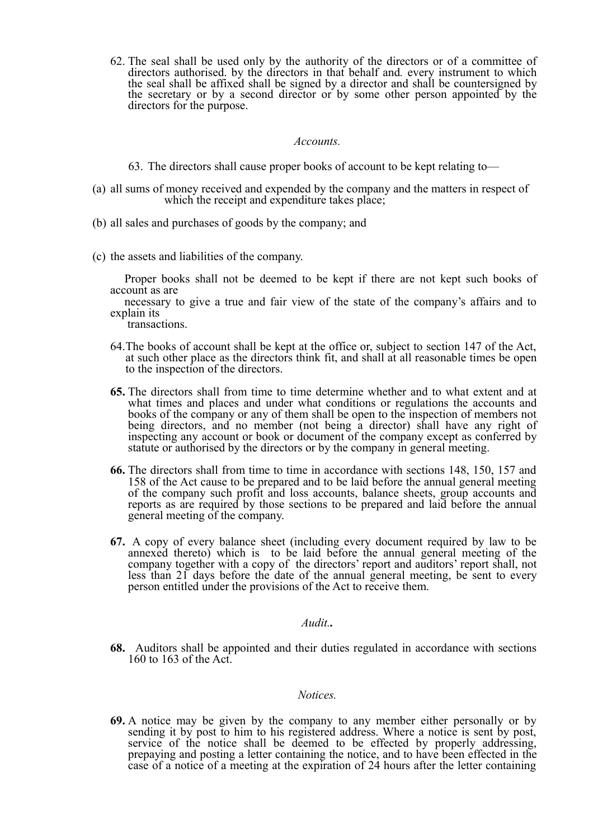62. The seal shall be used only by the authority of the directors or of a committee of directors authorised. by the directors in that behalf and*.* every instrument to which the seal shall be affixed shall be signed by a director and shall be countersigned by the secretary or by a second director or by some other person appointed by the directors for the purpose.

## *Accounts.*

- 63. The directors shall cause proper books of account to be kept relating to—
- (a) all sums of money received and expended by the company and the matters in respect of which the receipt and expenditure takes place;
- (b) all sales and purchases of goods by the company; and
- (c) the assets and liabilities of the company.

Proper books shall not be deemed to be kept if there are not kept such books of account as are

necessary to give a true and fair view of the state of the company's affairs and to explain its

transactions.

- 64.The books of account shall be kept at the office or, subject to section 147 of the Act, at such other place as the directors think fit, and shall at all reasonable times be open to the inspection of the directors.
- **65.** The directors shall from time to time determine whether and to what extent and at what times and places and under what conditions or regulations the accounts and books of the company or any of them shall be open to the inspection of members not being directors, and no member (not being a director) shall have any right of inspecting any account or book or document of the company except as conferred by statute or authorised by the directors or by the company in general meeting.
- **66.** The directors shall from time to time in accordance with sections 148, 150, 157 and 158 of the Act cause to be prepared and to be laid before the annual general meeting of the company such profit and loss accounts, balance sheets, group accounts and reports as are required by those sections to be prepared and laid before the annual general meeting of the company.
- **67.** A copy of every balance sheet (including every document required by law to be annexed thereto) which is to be laid before the annual general meeting of the company together with a copy of the directors' report and auditors' report shall, not less than 21 days before the date of the annual general meeting, be sent to every person entitled under the provisions of the Act to receive them.

#### *Audit..*

**68.** Auditors shall be appointed and their duties regulated in accordance with sections 160 to 163 of the Act.

#### *Notices.*

**69.** A notice may be given by the company to any member either personally or by sending it by post to him to his registered address. Where a notice is sent by post, service of the notice shall be deemed to be effected by properly addressing, prepaying and posting a letter containing the notice, and to have been effected in the case of a notice of a meeting at the expiration of 24 hours after the letter containing